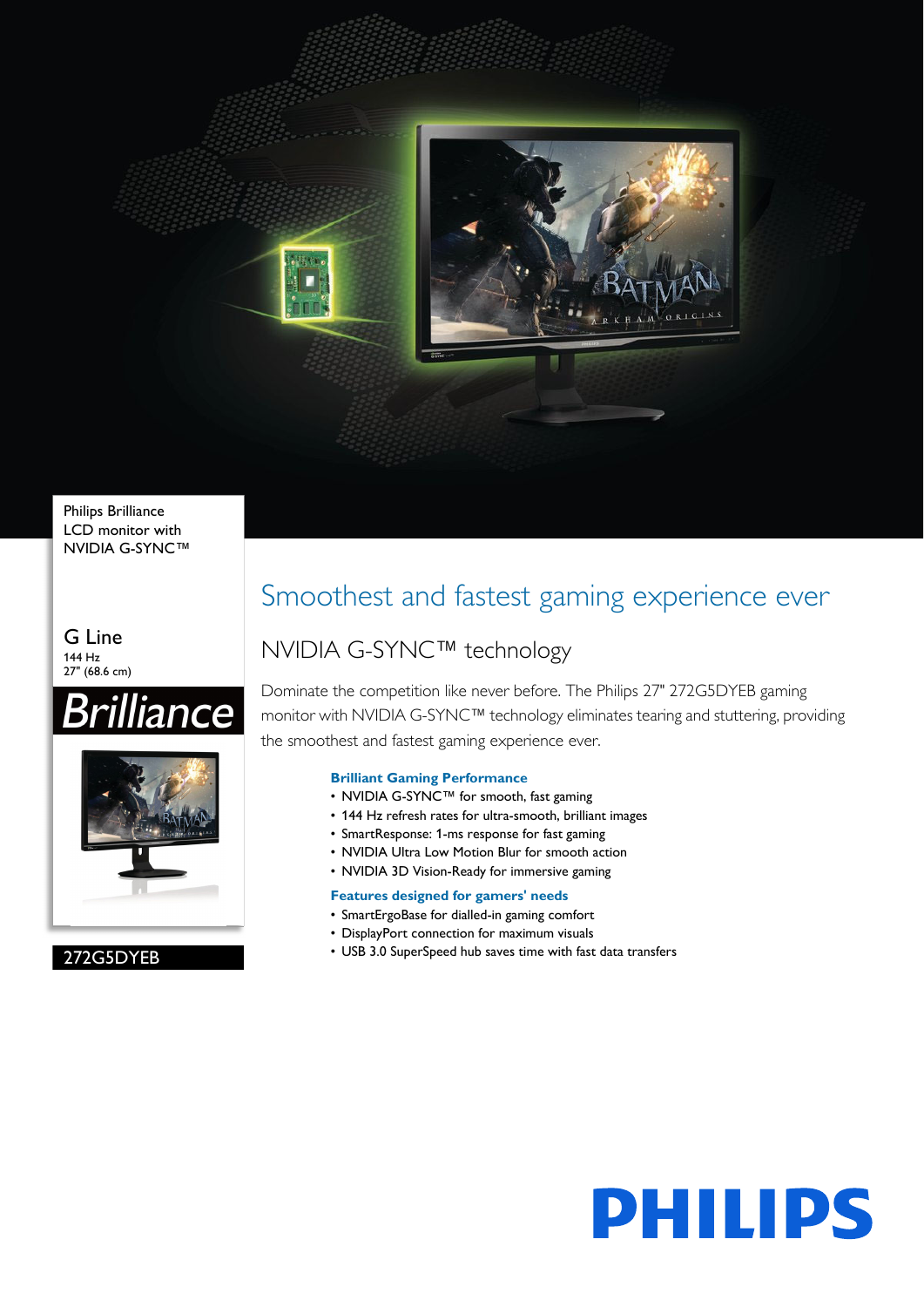

Philips Brilliance LCD monitor with NVIDIA G-SYNC™

G Line 144 Hz 27" (68.6 cm)



272G5DYEB

# Smoothest and fastest gaming experience ever

# NVIDIA G-SYNC™ technology

Dominate the competition like never before. The Philips 27" 272G5DYEB gaming monitor with NVIDIA G-SYNC™ technology eliminates tearing and stuttering, providing the smoothest and fastest gaming experience ever.

# **Brilliant Gaming Performance**

- NVIDIA G-SYNC™ for smooth, fast gaming
- 144 Hz refresh rates for ultra-smooth, brilliant images
- SmartResponse: 1-ms response for fast gaming
- NVIDIA Ultra Low Motion Blur for smooth action
- NVIDIA 3D Vision-Ready for immersive gaming

# **Features designed for gamers' needs**

- SmartErgoBase for dialled-in gaming comfort
- DisplayPort connection for maximum visuals
- USB 3.0 SuperSpeed hub saves time with fast data transfers

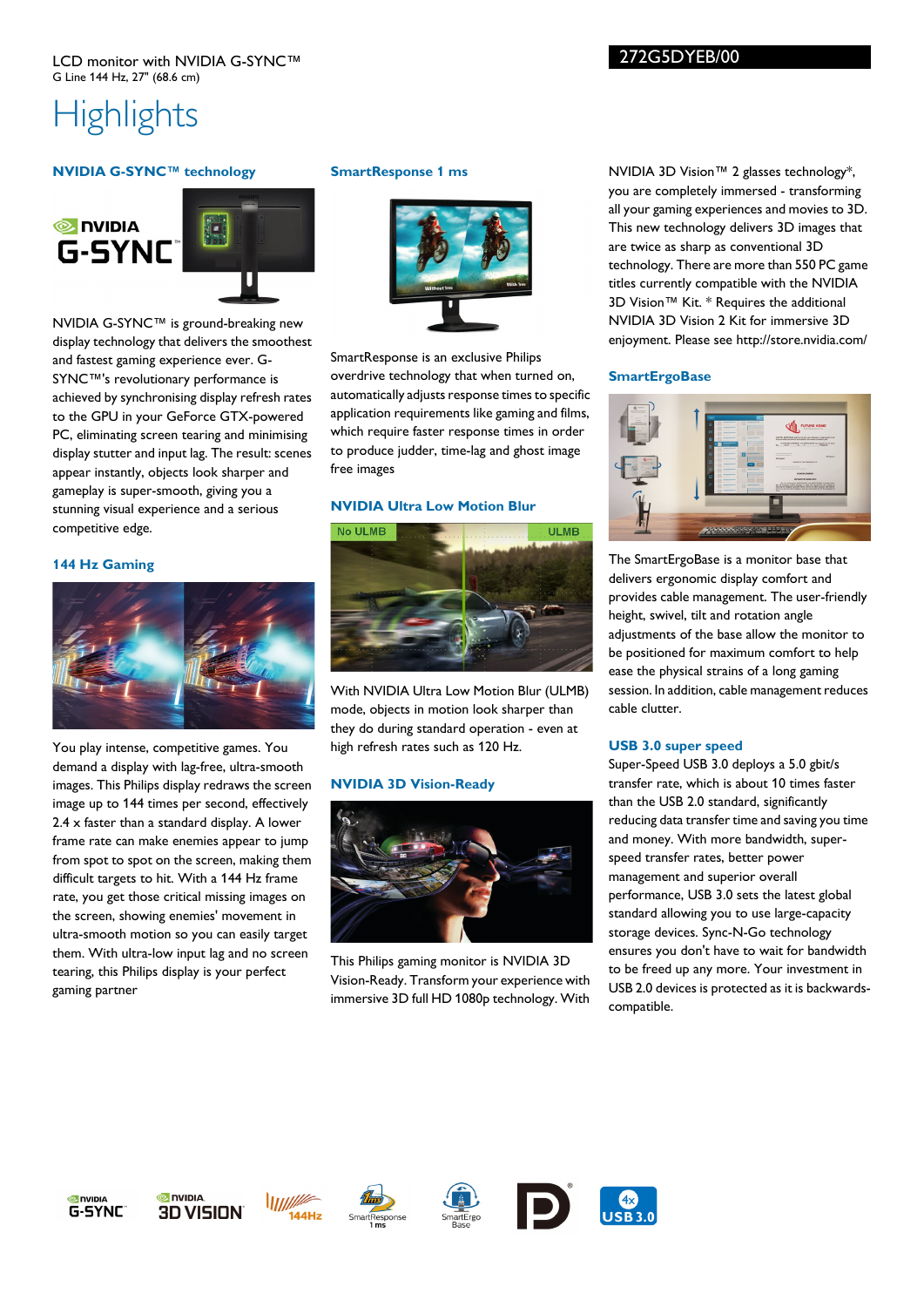# 272G5DYEB/00

# **Highlights**

# **NVIDIA G-SYNC™ technology**





NVIDIA G-SYNC™ is ground-breaking new display technology that delivers the smoothest and fastest gaming experience ever. G-SYNC™'s revolutionary performance is achieved by synchronising display refresh rates to the GPU in your GeForce GTX-powered PC, eliminating screen tearing and minimising display stutter and input lag. The result: scenes appear instantly, objects look sharper and gameplay is super-smooth, giving you a stunning visual experience and a serious competitive edge.

#### **144 Hz Gaming**



You play intense, competitive games. You demand a display with lag-free, ultra-smooth images. This Philips display redraws the screen image up to 144 times per second, effectively 2.4 x faster than a standard display. A lower frame rate can make enemies appear to jump from spot to spot on the screen, making them difficult targets to hit. With a 144 Hz frame rate, you get those critical missing images on the screen, showing enemies' movement in ultra-smooth motion so you can easily target them. With ultra-low input lag and no screen tearing, this Philips display is your perfect gaming partner

### **SmartResponse 1 ms**



SmartResponse is an exclusive Philips overdrive technology that when turned on, automatically adjusts response times to specific application requirements like gaming and films, which require faster response times in order to produce judder, time-lag and ghost image free images

## **NVIDIA Ultra Low Motion Blur**



With NVIDIA Ultra Low Motion Blur (ULMB) mode, objects in motion look sharper than they do during standard operation - even at high refresh rates such as 120 Hz.

### **NVIDIA 3D Vision-Ready**



This Philips gaming monitor is NVIDIA 3D Vision-Ready. Transform your experience with immersive 3D full HD 1080p technology. With

NVIDIA 3D Vision™ 2 glasses technology\*, you are completely immersed - transforming all your gaming experiences and movies to 3D. This new technology delivers 3D images that are twice as sharp as conventional 3D technology. There are more than 550 PC game titles currently compatible with the NVIDIA 3D Vision™ Kit. \* Requires the additional NVIDIA 3D Vision 2 Kit for immersive 3D enjoyment. Please see http://store.nvidia.com/

### **SmartErgoBase**



The SmartErgoBase is a monitor base that delivers ergonomic display comfort and provides cable management. The user-friendly height, swivel, tilt and rotation angle adjustments of the base allow the monitor to be positioned for maximum comfort to help ease the physical strains of a long gaming session. In addition, cable management reduces cable clutter.

# **USB 3.0 super speed**

Super-Speed USB 3.0 deploys a 5.0 gbit/s transfer rate, which is about 10 times faster than the USB 2.0 standard, significantly reducing data transfer time and saving you time and money. With more bandwidth, superspeed transfer rates, better power management and superior overall performance, USB 3.0 sets the latest global standard allowing you to use large-capacity storage devices. Sync-N-Go technology ensures you don't have to wait for bandwidth to be freed up any more. Your investment in USB 2.0 devices is protected as it is backwardscompatible.